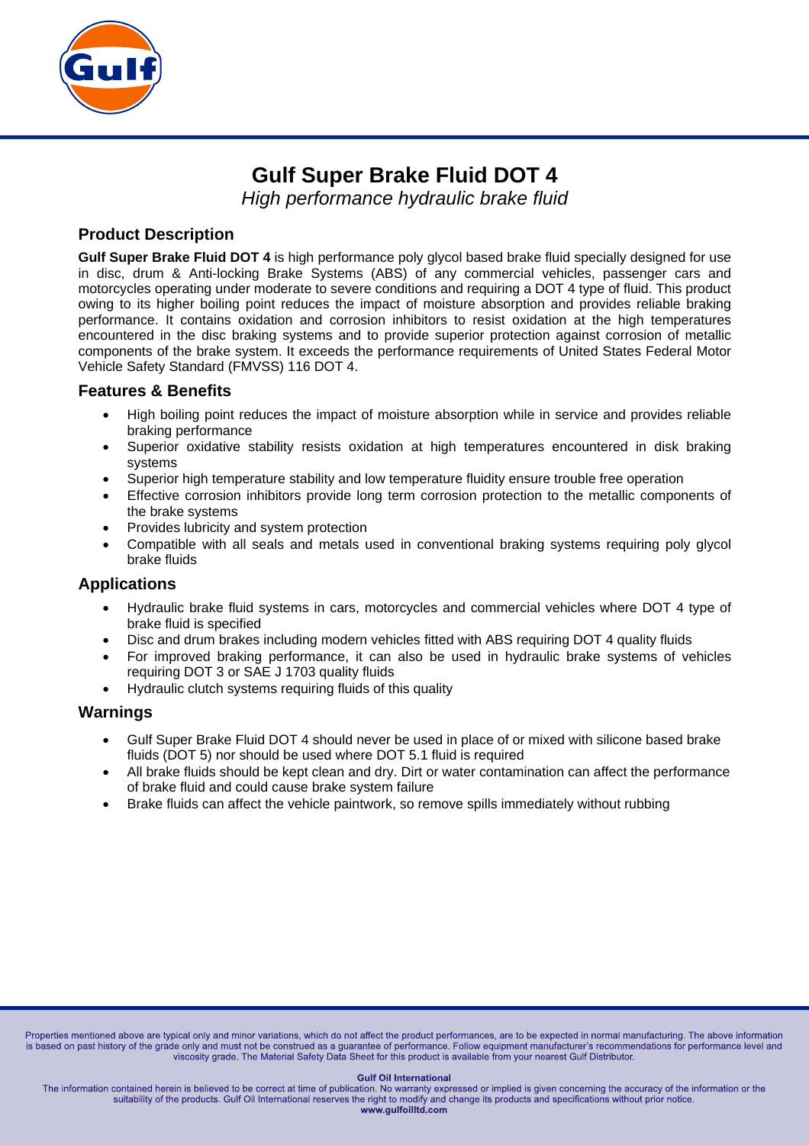

# **Gulf Super Brake Fluid DOT 4**

*High performance hydraulic brake fluid* 

### **Product Description**

**Gulf Super Brake Fluid DOT 4** is high performance poly glycol based brake fluid specially designed for use in disc, drum & Anti-locking Brake Systems (ABS) of any commercial vehicles, passenger cars and motorcycles operating under moderate to severe conditions and requiring a DOT 4 type of fluid. This product owing to its higher boiling point reduces the impact of moisture absorption and provides reliable braking performance. It contains oxidation and corrosion inhibitors to resist oxidation at the high temperatures encountered in the disc braking systems and to provide superior protection against corrosion of metallic components of the brake system. It exceeds the performance requirements of United States Federal Motor Vehicle Safety Standard (FMVSS) 116 DOT 4.

#### **Features & Benefits**

- High boiling point reduces the impact of moisture absorption while in service and provides reliable braking performance
- Superior oxidative stability resists oxidation at high temperatures encountered in disk braking systems
- Superior high temperature stability and low temperature fluidity ensure trouble free operation
- Effective corrosion inhibitors provide long term corrosion protection to the metallic components of the brake systems
- Provides lubricity and system protection
- Compatible with all seals and metals used in conventional braking systems requiring poly glycol brake fluids

#### **Applications**

- Hydraulic brake fluid systems in cars, motorcycles and commercial vehicles where DOT 4 type of brake fluid is specified
- Disc and drum brakes including modern vehicles fitted with ABS requiring DOT 4 quality fluids
- For improved braking performance, it can also be used in hydraulic brake systems of vehicles requiring DOT 3 or SAE J 1703 quality fluids
- Hydraulic clutch systems requiring fluids of this quality

#### **Warnings**

- Gulf Super Brake Fluid DOT 4 should never be used in place of or mixed with silicone based brake fluids (DOT 5) nor should be used where DOT 5.1 fluid is required
- All brake fluids should be kept clean and dry. Dirt or water contamination can affect the performance of brake fluid and could cause brake system failure
- Brake fluids can affect the vehicle paintwork, so remove spills immediately without rubbing

Properties mentioned above are typical only and minor variations, which do not affect the product performances, are to be expected in normal manufacturing. The above information is based on past history of the grade only and must not be construed as a guarantee of performance. Follow equipment manufacturer's recommendations for performance level and viscosity grade. The Material Safety Data Sheet for this product is available from your nearest Gulf Distributor.

#### **Gulf Oil International**

The information contained herein is believed to be correct at time of publication. No warranty expressed or implied is given concerning the accuracy of the information or the suitability of the products. Gulf Oil International reserves the right to modify and change its products and specifications without prior notice. www.gulfoilltd.com